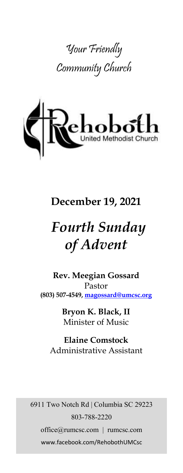



# **December 19, 2021**

# *Fourth Sunday of Advent*

**Rev. Meegian Gossard** Pastor **(803) 507-4549, magossard@umcsc.org**

> **Bryon K. Black, II** Minister of Music

**Elaine Comstock** Administrative Assistant

6911 Two Notch Rd | Columbia SC 29223 803-788-2220 office@rumcsc.com | rumcsc.com www.facebook.com/RehobothUMCsc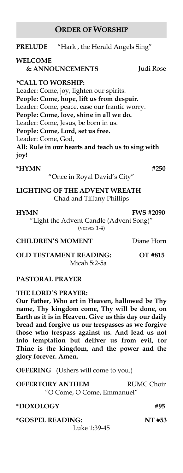# **ORDER OF WORSHIP**

| <b>PRELUDE</b>                  | "Hark, the Herald Angels Sing"                    |           |
|---------------------------------|---------------------------------------------------|-----------|
| <b>WELCOME</b>                  | <b>&amp; ANNOUNCEMENTS</b>                        | Judi Rose |
| <i><b>*CALL TO WORSHIP:</b></i> |                                                   |           |
|                                 | Leader: Come, joy, lighten our spirits.           |           |
|                                 | People: Come, hope, lift us from despair.         |           |
|                                 | Leader: Come, peace, ease our frantic worry.      |           |
|                                 | People: Come, love, shine in all we do.           |           |
|                                 | Leader: Come, Jesus, be born in us.               |           |
|                                 | People: Come, Lord, set us free.                  |           |
| Leader: Come, God,              |                                                   |           |
|                                 | All: Rule in our hearts and teach us to sing with |           |
| joy!                            |                                                   |           |
| *HYMN                           |                                                   | #250      |
|                                 | "Once in Royal David's City"                      |           |
|                                 |                                                   |           |

**LIGHTING OF THE ADVENT WREATH** Chad and Tiffany Phillips

#### **HYMN FWS #2090**

"Light the Advent Candle (Advent Song)" (verses 1-4)

#### **CHILDREN'S MOMENT** Diane Horn

**OLD TESTAMENT READING: OT #815** Micah 5:2-5a

# **PASTORAL PRAYER**

# **THE LORD'S PRAYER:**

**Our Father, Who art in Heaven, hallowed be Thy name, Thy kingdom come, Thy will be done, on Earth as it is in Heaven. Give us this day our daily bread and forgive us our trespasses as we forgive those who trespass against us. And lead us not into temptation but deliver us from evil, for Thine is the kingdom, and the power and the glory forever. Amen.** 

**OFFERING** (Ushers will come to you.)

| <b>OFFERTORY ANTHEM</b>    | RUMC Choir |
|----------------------------|------------|
| "O Come, O Come, Emmanuel" |            |

**\*DOXOLOGY #95**

**\*GOSPEL READING: NT #53** Luke 1:39-45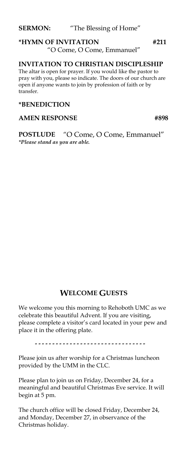# **\*HYMN OF INVITATION #211**  "O Come, O Come, Emmanuel"

# **INVITATION TO CHRISTIAN DISCIPLESHIP**

The altar is open for prayer. If you would like the pastor to pray with you, please so indicate. The doors of our church are open if anyone wants to join by profession of faith or by transfer.

#### **\*BENEDICTION**

#### AMEN RESPONSE #898

**POSTLUDE** "O Come, O Come, Emmanuel" *\*Please stand as you are able.*

# **WELCOME GUESTS**

We welcome you this morning to Rehoboth UMC as we celebrate this beautiful Advent. If you are visiting, please complete a visitor's card located in your pew and place it in the offering plate.

.................................

Please join us after worship for a Christmas luncheon provided by the UMM in the CLC.

Please plan to join us on Friday, December 24, for a meaningful and beautiful Christmas Eve service. It will begin at 5 pm.

The church office will be closed Friday, December 24, and Monday, December 27, in observance of the Christmas holiday.